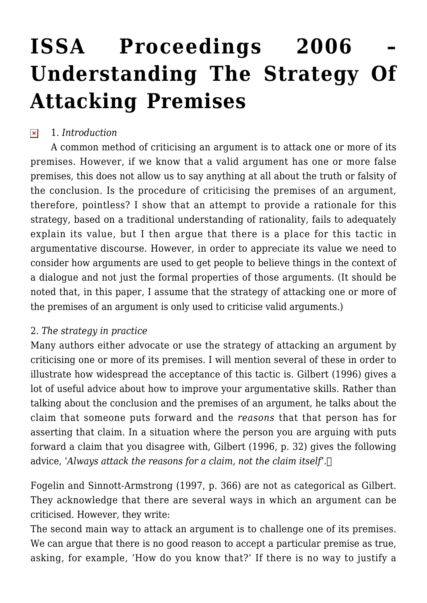# **[ISSA Proceedings 2006 –](https://rozenbergquarterly.com/issa-proceedings-2006-understanding-the-strategy-of-attacking-premises/) [Understanding The Strategy Of](https://rozenbergquarterly.com/issa-proceedings-2006-understanding-the-strategy-of-attacking-premises/) [Attacking Premises](https://rozenbergquarterly.com/issa-proceedings-2006-understanding-the-strategy-of-attacking-premises/)**

#### 1. *Introduction*  $\pmb{\times}$

A common method of criticising an argument is to attack one or more of its premises. However, if we know that a valid argument has one or more false premises, this does not allow us to say anything at all about the truth or falsity of the conclusion. Is the procedure of criticising the premises of an argument, therefore, pointless? I show that an attempt to provide a rationale for this strategy, based on a traditional understanding of rationality, fails to adequately explain its value, but I then argue that there is a place for this tactic in argumentative discourse. However, in order to appreciate its value we need to consider how arguments are used to get people to believe things in the context of a dialogue and not just the formal properties of those arguments. (It should be noted that, in this paper, I assume that the strategy of attacking one or more of the premises of an argument is only used to criticise valid arguments.)

### 2. *The strategy in practice*

Many authors either advocate or use the strategy of attacking an argument by criticising one or more of its premises. I will mention several of these in order to illustrate how widespread the acceptance of this tactic is. Gilbert (1996) gives a lot of useful advice about how to improve your argumentative skills. Rather than talking about the conclusion and the premises of an argument, he talks about the claim that someone puts forward and the *reasons* that that person has for asserting that claim. In a situation where the person you are arguing with puts forward a claim that you disagree with, Gilbert (1996, p. 32) gives the following advice, '*Always attack the reasons for a claim, not the claim itself'*.

Fogelin and Sinnott-Armstrong (1997, p. 366) are not as categorical as Gilbert. They acknowledge that there are several ways in which an argument can be criticised. However, they write:

The second main way to attack an argument is to challenge one of its premises. We can argue that there is no good reason to accept a particular premise as true, asking, for example, 'How do you know that?' If there is no way to justify a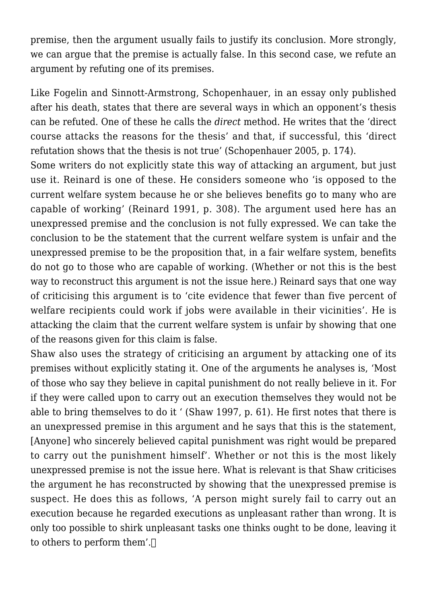premise, then the argument usually fails to justify its conclusion. More strongly, we can argue that the premise is actually false. In this second case, we refute an argument by refuting one of its premises.

Like Fogelin and Sinnott-Armstrong, Schopenhauer, in an essay only published after his death, states that there are several ways in which an opponent's thesis can be refuted. One of these he calls the *direct* method. He writes that the 'direct course attacks the reasons for the thesis' and that, if successful, this 'direct refutation shows that the thesis is not true' (Schopenhauer 2005, p. 174).

Some writers do not explicitly state this way of attacking an argument, but just use it. Reinard is one of these. He considers someone who 'is opposed to the current welfare system because he or she believes benefits go to many who are capable of working' (Reinard 1991, p. 308). The argument used here has an unexpressed premise and the conclusion is not fully expressed. We can take the conclusion to be the statement that the current welfare system is unfair and the unexpressed premise to be the proposition that, in a fair welfare system, benefits do not go to those who are capable of working. (Whether or not this is the best way to reconstruct this argument is not the issue here.) Reinard says that one way of criticising this argument is to 'cite evidence that fewer than five percent of welfare recipients could work if jobs were available in their vicinities'. He is attacking the claim that the current welfare system is unfair by showing that one of the reasons given for this claim is false.

Shaw also uses the strategy of criticising an argument by attacking one of its premises without explicitly stating it. One of the arguments he analyses is, 'Most of those who say they believe in capital punishment do not really believe in it. For if they were called upon to carry out an execution themselves they would not be able to bring themselves to do it ' (Shaw 1997, p. 61). He first notes that there is an unexpressed premise in this argument and he says that this is the statement, [Anyone] who sincerely believed capital punishment was right would be prepared to carry out the punishment himself'. Whether or not this is the most likely unexpressed premise is not the issue here. What is relevant is that Shaw criticises the argument he has reconstructed by showing that the unexpressed premise is suspect. He does this as follows, 'A person might surely fail to carry out an execution because he regarded executions as unpleasant rather than wrong. It is only too possible to shirk unpleasant tasks one thinks ought to be done, leaving it to others to perform them'. $\Box$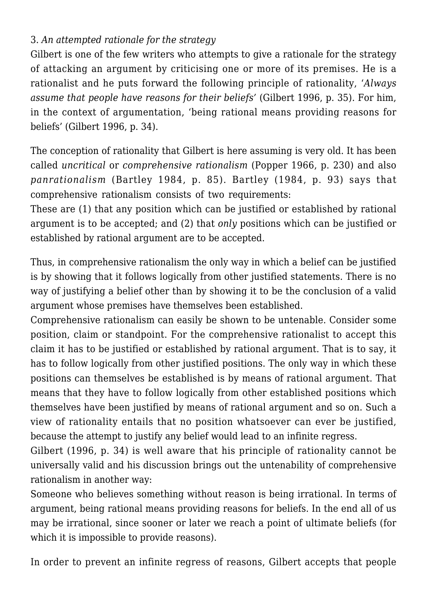# 3. *An attempted rationale for the strategy*

Gilbert is one of the few writers who attempts to give a rationale for the strategy of attacking an argument by criticising one or more of its premises. He is a rationalist and he puts forward the following principle of rationality, '*Always assume that people have reasons for their beliefs'* (Gilbert 1996, p. 35). For him, in the context of argumentation, 'being rational means providing reasons for beliefs' (Gilbert 1996, p. 34).

The conception of rationality that Gilbert is here assuming is very old. It has been called *uncritical* or *comprehensive rationalism* (Popper 1966, p. 230) and also *panrationalism* (Bartley 1984, p. 85). Bartley (1984, p. 93) says that comprehensive rationalism consists of two requirements:

These are (1) that any position which can be justified or established by rational argument is to be accepted; and (2) that *only* positions which can be justified or established by rational argument are to be accepted.

Thus, in comprehensive rationalism the only way in which a belief can be justified is by showing that it follows logically from other justified statements. There is no way of justifying a belief other than by showing it to be the conclusion of a valid argument whose premises have themselves been established.

Comprehensive rationalism can easily be shown to be untenable. Consider some position, claim or standpoint. For the comprehensive rationalist to accept this claim it has to be justified or established by rational argument. That is to say, it has to follow logically from other justified positions. The only way in which these positions can themselves be established is by means of rational argument. That means that they have to follow logically from other established positions which themselves have been justified by means of rational argument and so on. Such a view of rationality entails that no position whatsoever can ever be justified, because the attempt to justify any belief would lead to an infinite regress.

Gilbert (1996, p. 34) is well aware that his principle of rationality cannot be universally valid and his discussion brings out the untenability of comprehensive rationalism in another way:

Someone who believes something without reason is being irrational. In terms of argument, being rational means providing reasons for beliefs. In the end all of us may be irrational, since sooner or later we reach a point of ultimate beliefs (for which it is impossible to provide reasons).

In order to prevent an infinite regress of reasons, Gilbert accepts that people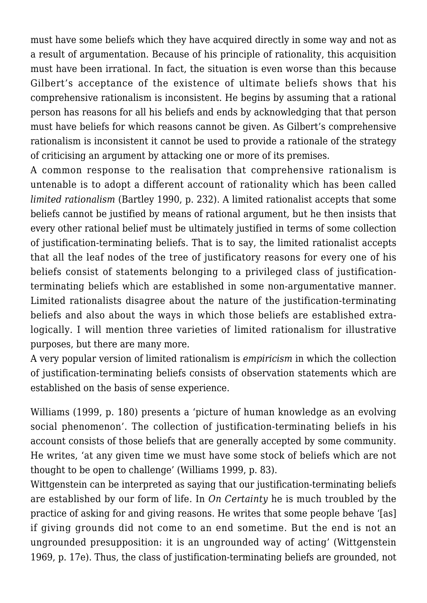must have some beliefs which they have acquired directly in some way and not as a result of argumentation. Because of his principle of rationality, this acquisition must have been irrational. In fact, the situation is even worse than this because Gilbert's acceptance of the existence of ultimate beliefs shows that his comprehensive rationalism is inconsistent. He begins by assuming that a rational person has reasons for all his beliefs and ends by acknowledging that that person must have beliefs for which reasons cannot be given. As Gilbert's comprehensive rationalism is inconsistent it cannot be used to provide a rationale of the strategy of criticising an argument by attacking one or more of its premises.

A common response to the realisation that comprehensive rationalism is untenable is to adopt a different account of rationality which has been called *limited rationalism* (Bartley 1990, p. 232). A limited rationalist accepts that some beliefs cannot be justified by means of rational argument, but he then insists that every other rational belief must be ultimately justified in terms of some collection of justification-terminating beliefs. That is to say, the limited rationalist accepts that all the leaf nodes of the tree of justificatory reasons for every one of his beliefs consist of statements belonging to a privileged class of justificationterminating beliefs which are established in some non-argumentative manner. Limited rationalists disagree about the nature of the justification-terminating beliefs and also about the ways in which those beliefs are established extralogically. I will mention three varieties of limited rationalism for illustrative purposes, but there are many more.

A very popular version of limited rationalism is *empiricism* in which the collection of justification-terminating beliefs consists of observation statements which are established on the basis of sense experience.

Williams (1999, p. 180) presents a 'picture of human knowledge as an evolving social phenomenon'. The collection of justification-terminating beliefs in his account consists of those beliefs that are generally accepted by some community. He writes, 'at any given time we must have some stock of beliefs which are not thought to be open to challenge' (Williams 1999, p. 83).

Wittgenstein can be interpreted as saying that our justification-terminating beliefs are established by our form of life. In *On Certainty* he is much troubled by the practice of asking for and giving reasons. He writes that some people behave '[as] if giving grounds did not come to an end sometime. But the end is not an ungrounded presupposition: it is an ungrounded way of acting' (Wittgenstein 1969, p. 17e). Thus, the class of justification-terminating beliefs are grounded, not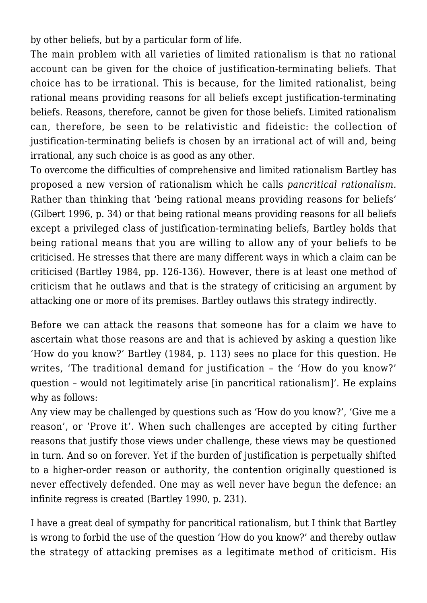by other beliefs, but by a particular form of life.

The main problem with all varieties of limited rationalism is that no rational account can be given for the choice of justification-terminating beliefs. That choice has to be irrational. This is because, for the limited rationalist, being rational means providing reasons for all beliefs except justification-terminating beliefs. Reasons, therefore, cannot be given for those beliefs. Limited rationalism can, therefore, be seen to be relativistic and fideistic: the collection of justification-terminating beliefs is chosen by an irrational act of will and, being irrational, any such choice is as good as any other.

To overcome the difficulties of comprehensive and limited rationalism Bartley has proposed a new version of rationalism which he calls *pancritical rationalism.* Rather than thinking that 'being rational means providing reasons for beliefs' (Gilbert 1996, p. 34) or that being rational means providing reasons for all beliefs except a privileged class of justification-terminating beliefs, Bartley holds that being rational means that you are willing to allow any of your beliefs to be criticised. He stresses that there are many different ways in which a claim can be criticised (Bartley 1984, pp. 126-136). However, there is at least one method of criticism that he outlaws and that is the strategy of criticising an argument by attacking one or more of its premises. Bartley outlaws this strategy indirectly.

Before we can attack the reasons that someone has for a claim we have to ascertain what those reasons are and that is achieved by asking a question like 'How do you know?' Bartley (1984, p. 113) sees no place for this question. He writes, 'The traditional demand for justification – the 'How do you know?' question – would not legitimately arise [in pancritical rationalism]'. He explains why as follows:

Any view may be challenged by questions such as 'How do you know?', 'Give me a reason', or 'Prove it'. When such challenges are accepted by citing further reasons that justify those views under challenge, these views may be questioned in turn. And so on forever. Yet if the burden of justification is perpetually shifted to a higher-order reason or authority, the contention originally questioned is never effectively defended. One may as well never have begun the defence: an infinite regress is created (Bartley 1990, p. 231).

I have a great deal of sympathy for pancritical rationalism, but I think that Bartley is wrong to forbid the use of the question 'How do you know?' and thereby outlaw the strategy of attacking premises as a legitimate method of criticism. His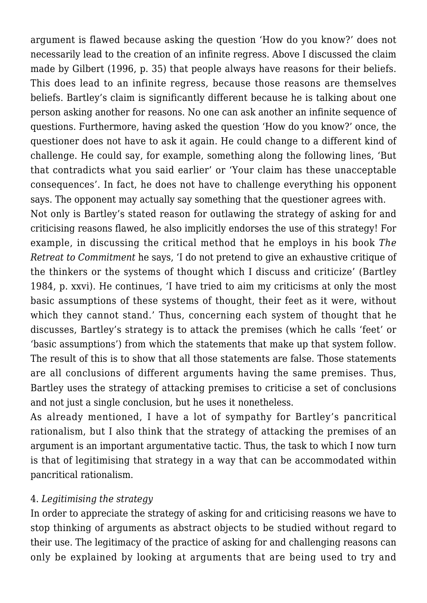argument is flawed because asking the question 'How do you know?' does not necessarily lead to the creation of an infinite regress. Above I discussed the claim made by Gilbert (1996, p. 35) that people always have reasons for their beliefs. This does lead to an infinite regress, because those reasons are themselves beliefs. Bartley's claim is significantly different because he is talking about one person asking another for reasons. No one can ask another an infinite sequence of questions. Furthermore, having asked the question 'How do you know?' once, the questioner does not have to ask it again. He could change to a different kind of challenge. He could say, for example, something along the following lines, 'But that contradicts what you said earlier' or 'Your claim has these unacceptable consequences'. In fact, he does not have to challenge everything his opponent says. The opponent may actually say something that the questioner agrees with.

Not only is Bartley's stated reason for outlawing the strategy of asking for and criticising reasons flawed, he also implicitly endorses the use of this strategy! For example, in discussing the critical method that he employs in his book *The Retreat to Commitment* he says, 'I do not pretend to give an exhaustive critique of the thinkers or the systems of thought which I discuss and criticize' (Bartley 1984, p. xxvi). He continues, 'I have tried to aim my criticisms at only the most basic assumptions of these systems of thought, their feet as it were, without which they cannot stand.' Thus, concerning each system of thought that he discusses, Bartley's strategy is to attack the premises (which he calls 'feet' or 'basic assumptions') from which the statements that make up that system follow. The result of this is to show that all those statements are false. Those statements are all conclusions of different arguments having the same premises. Thus, Bartley uses the strategy of attacking premises to criticise a set of conclusions and not just a single conclusion, but he uses it nonetheless.

As already mentioned, I have a lot of sympathy for Bartley's pancritical rationalism, but I also think that the strategy of attacking the premises of an argument is an important argumentative tactic. Thus, the task to which I now turn is that of legitimising that strategy in a way that can be accommodated within pancritical rationalism.

## 4. *Legitimising the strategy*

In order to appreciate the strategy of asking for and criticising reasons we have to stop thinking of arguments as abstract objects to be studied without regard to their use. The legitimacy of the practice of asking for and challenging reasons can only be explained by looking at arguments that are being used to try and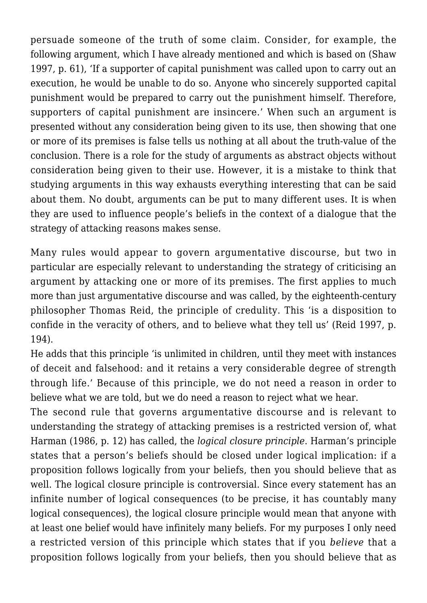persuade someone of the truth of some claim. Consider, for example, the following argument, which I have already mentioned and which is based on (Shaw 1997, p. 61), 'If a supporter of capital punishment was called upon to carry out an execution, he would be unable to do so. Anyone who sincerely supported capital punishment would be prepared to carry out the punishment himself. Therefore, supporters of capital punishment are insincere.' When such an argument is presented without any consideration being given to its use, then showing that one or more of its premises is false tells us nothing at all about the truth-value of the conclusion. There is a role for the study of arguments as abstract objects without consideration being given to their use. However, it is a mistake to think that studying arguments in this way exhausts everything interesting that can be said about them. No doubt, arguments can be put to many different uses. It is when they are used to influence people's beliefs in the context of a dialogue that the strategy of attacking reasons makes sense.

Many rules would appear to govern argumentative discourse, but two in particular are especially relevant to understanding the strategy of criticising an argument by attacking one or more of its premises. The first applies to much more than just argumentative discourse and was called, by the eighteenth-century philosopher Thomas Reid, the principle of credulity. This 'is a disposition to confide in the veracity of others, and to believe what they tell us' (Reid 1997, p. 194).

He adds that this principle 'is unlimited in children, until they meet with instances of deceit and falsehood: and it retains a very considerable degree of strength through life.' Because of this principle, we do not need a reason in order to believe what we are told, but we do need a reason to reject what we hear.

The second rule that governs argumentative discourse and is relevant to understanding the strategy of attacking premises is a restricted version of, what Harman (1986, p. 12) has called, the *logical closure principle*. Harman's principle states that a person's beliefs should be closed under logical implication: if a proposition follows logically from your beliefs, then you should believe that as well. The logical closure principle is controversial. Since every statement has an infinite number of logical consequences (to be precise, it has countably many logical consequences), the logical closure principle would mean that anyone with at least one belief would have infinitely many beliefs. For my purposes I only need a restricted version of this principle which states that if you *believe* that a proposition follows logically from your beliefs, then you should believe that as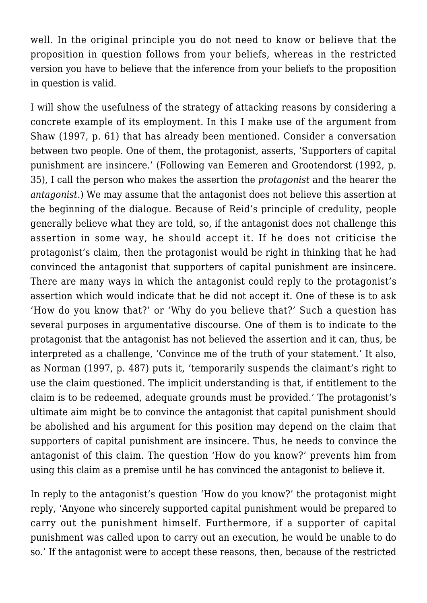well. In the original principle you do not need to know or believe that the proposition in question follows from your beliefs, whereas in the restricted version you have to believe that the inference from your beliefs to the proposition in question is valid.

I will show the usefulness of the strategy of attacking reasons by considering a concrete example of its employment. In this I make use of the argument from Shaw (1997, p. 61) that has already been mentioned. Consider a conversation between two people. One of them, the protagonist, asserts, 'Supporters of capital punishment are insincere.' (Following van Eemeren and Grootendorst (1992, p. 35), I call the person who makes the assertion the *protagonist* and the hearer the *antagonist.*) We may assume that the antagonist does not believe this assertion at the beginning of the dialogue. Because of Reid's principle of credulity, people generally believe what they are told, so, if the antagonist does not challenge this assertion in some way, he should accept it. If he does not criticise the protagonist's claim, then the protagonist would be right in thinking that he had convinced the antagonist that supporters of capital punishment are insincere. There are many ways in which the antagonist could reply to the protagonist's assertion which would indicate that he did not accept it. One of these is to ask 'How do you know that?' or 'Why do you believe that?' Such a question has several purposes in argumentative discourse. One of them is to indicate to the protagonist that the antagonist has not believed the assertion and it can, thus, be interpreted as a challenge, 'Convince me of the truth of your statement.' It also, as Norman (1997, p. 487) puts it, 'temporarily suspends the claimant's right to use the claim questioned. The implicit understanding is that, if entitlement to the claim is to be redeemed, adequate grounds must be provided.' The protagonist's ultimate aim might be to convince the antagonist that capital punishment should be abolished and his argument for this position may depend on the claim that supporters of capital punishment are insincere. Thus, he needs to convince the antagonist of this claim. The question 'How do you know?' prevents him from using this claim as a premise until he has convinced the antagonist to believe it.

In reply to the antagonist's question 'How do you know?' the protagonist might reply, 'Anyone who sincerely supported capital punishment would be prepared to carry out the punishment himself. Furthermore, if a supporter of capital punishment was called upon to carry out an execution, he would be unable to do so.' If the antagonist were to accept these reasons, then, because of the restricted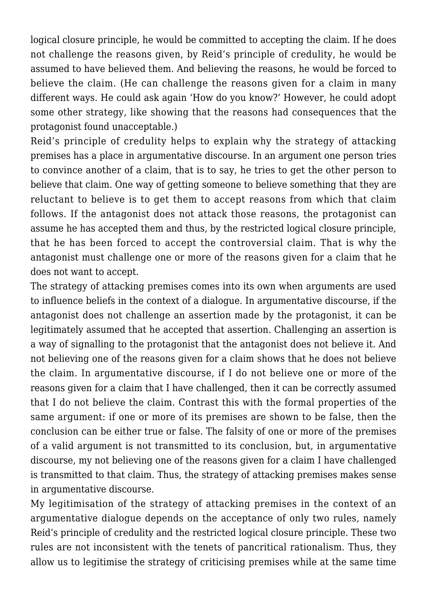logical closure principle, he would be committed to accepting the claim. If he does not challenge the reasons given, by Reid's principle of credulity, he would be assumed to have believed them. And believing the reasons, he would be forced to believe the claim. (He can challenge the reasons given for a claim in many different ways. He could ask again 'How do you know?' However, he could adopt some other strategy, like showing that the reasons had consequences that the protagonist found unacceptable.)

Reid's principle of credulity helps to explain why the strategy of attacking premises has a place in argumentative discourse. In an argument one person tries to convince another of a claim, that is to say, he tries to get the other person to believe that claim. One way of getting someone to believe something that they are reluctant to believe is to get them to accept reasons from which that claim follows. If the antagonist does not attack those reasons, the protagonist can assume he has accepted them and thus, by the restricted logical closure principle, that he has been forced to accept the controversial claim. That is why the antagonist must challenge one or more of the reasons given for a claim that he does not want to accept.

The strategy of attacking premises comes into its own when arguments are used to influence beliefs in the context of a dialogue. In argumentative discourse, if the antagonist does not challenge an assertion made by the protagonist, it can be legitimately assumed that he accepted that assertion. Challenging an assertion is a way of signalling to the protagonist that the antagonist does not believe it. And not believing one of the reasons given for a claim shows that he does not believe the claim. In argumentative discourse, if I do not believe one or more of the reasons given for a claim that I have challenged, then it can be correctly assumed that I do not believe the claim. Contrast this with the formal properties of the same argument: if one or more of its premises are shown to be false, then the conclusion can be either true or false. The falsity of one or more of the premises of a valid argument is not transmitted to its conclusion, but, in argumentative discourse, my not believing one of the reasons given for a claim I have challenged is transmitted to that claim. Thus, the strategy of attacking premises makes sense in argumentative discourse.

My legitimisation of the strategy of attacking premises in the context of an argumentative dialogue depends on the acceptance of only two rules, namely Reid's principle of credulity and the restricted logical closure principle. These two rules are not inconsistent with the tenets of pancritical rationalism. Thus, they allow us to legitimise the strategy of criticising premises while at the same time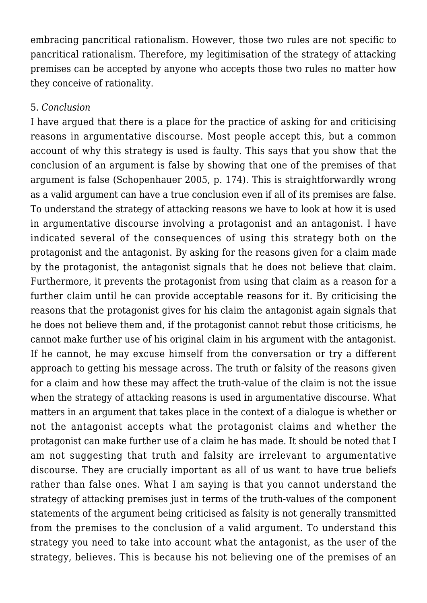embracing pancritical rationalism. However, those two rules are not specific to pancritical rationalism. Therefore, my legitimisation of the strategy of attacking premises can be accepted by anyone who accepts those two rules no matter how they conceive of rationality.

#### 5. *Conclusion*

I have argued that there is a place for the practice of asking for and criticising reasons in argumentative discourse. Most people accept this, but a common account of why this strategy is used is faulty. This says that you show that the conclusion of an argument is false by showing that one of the premises of that argument is false (Schopenhauer 2005, p. 174). This is straightforwardly wrong as a valid argument can have a true conclusion even if all of its premises are false. To understand the strategy of attacking reasons we have to look at how it is used in argumentative discourse involving a protagonist and an antagonist. I have indicated several of the consequences of using this strategy both on the protagonist and the antagonist. By asking for the reasons given for a claim made by the protagonist, the antagonist signals that he does not believe that claim. Furthermore, it prevents the protagonist from using that claim as a reason for a further claim until he can provide acceptable reasons for it. By criticising the reasons that the protagonist gives for his claim the antagonist again signals that he does not believe them and, if the protagonist cannot rebut those criticisms, he cannot make further use of his original claim in his argument with the antagonist. If he cannot, he may excuse himself from the conversation or try a different approach to getting his message across. The truth or falsity of the reasons given for a claim and how these may affect the truth-value of the claim is not the issue when the strategy of attacking reasons is used in argumentative discourse. What matters in an argument that takes place in the context of a dialogue is whether or not the antagonist accepts what the protagonist claims and whether the protagonist can make further use of a claim he has made. It should be noted that I am not suggesting that truth and falsity are irrelevant to argumentative discourse. They are crucially important as all of us want to have true beliefs rather than false ones. What I am saying is that you cannot understand the strategy of attacking premises just in terms of the truth-values of the component statements of the argument being criticised as falsity is not generally transmitted from the premises to the conclusion of a valid argument. To understand this strategy you need to take into account what the antagonist, as the user of the strategy, believes. This is because his not believing one of the premises of an